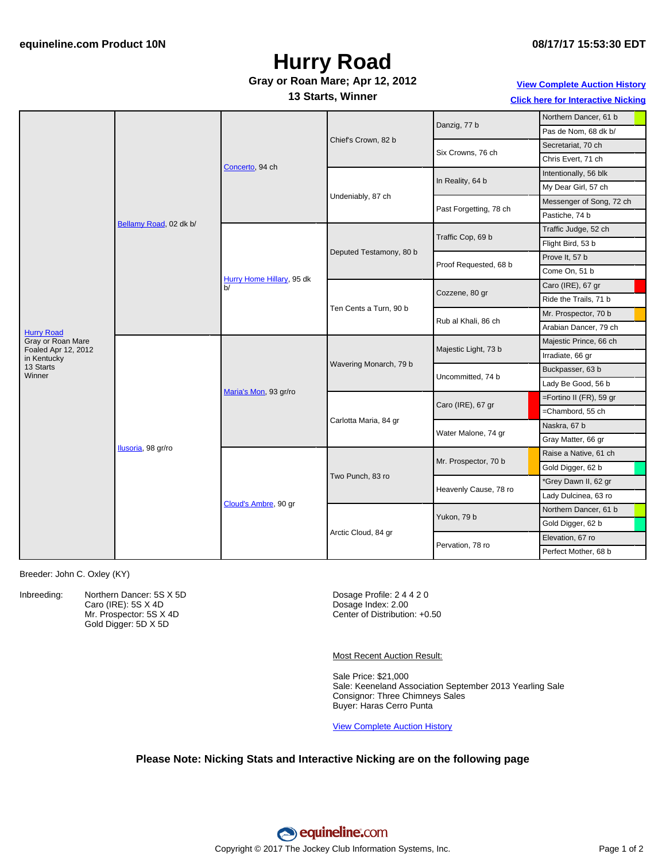# **Hurry Road**

### **Gray or Roan Mare; Apr 12, 2012**

### **13 Starts, Winner**

**View [Complete](http://www.equineline.com/Free-Auction-Results.cfm?upsellReferenceNumber=&upsellHorseName=&upsellBreedType=&upsellHorseType=&upsellYOB=&lookupAuctionResults=true&tempHorseType=&tempSale=ALL&tempYear=ALL&search_type=HORSE&reference_number=9326065&horse_name=Fateful&horse_type=ALL&year=ALL&sale=ALL&consignor_id=&consignor_name=&buyer_id=&buyer_name=&price_range_low=&price_range_high=&availableConsignors=&availableBuyers=&fromFree5CrossPedigree=Y) Auction History Click here for [Interactive](#page-1-0) Nicking**

|                                    | Bellamy Road, 02 dk b/ | Concerto, 94 ch                 | Chief's Crown, 82 b     | Danzig, 77 b           | Northern Dancer, 61 b    |  |
|------------------------------------|------------------------|---------------------------------|-------------------------|------------------------|--------------------------|--|
|                                    |                        |                                 |                         |                        | Pas de Nom, 68 dk b/     |  |
|                                    |                        |                                 |                         | Six Crowns, 76 ch      | Secretariat, 70 ch       |  |
|                                    |                        |                                 |                         |                        | Chris Evert, 71 ch       |  |
|                                    |                        |                                 | Undeniably, 87 ch       | In Reality, 64 b       | Intentionally, 56 blk    |  |
|                                    |                        |                                 |                         |                        | My Dear Girl, 57 ch      |  |
|                                    |                        |                                 |                         | Past Forgetting, 78 ch | Messenger of Song, 72 ch |  |
|                                    |                        |                                 |                         |                        | Pastiche, 74 b           |  |
|                                    |                        | Hurry Home Hillary, 95 dk<br>b/ | Deputed Testamony, 80 b | Traffic Cop, 69 b      | Traffic Judge, 52 ch     |  |
|                                    |                        |                                 |                         |                        | Flight Bird, 53 b        |  |
|                                    |                        |                                 |                         | Proof Requested, 68 b  | Prove It, 57 b           |  |
|                                    |                        |                                 |                         |                        | Come On, 51 b            |  |
|                                    |                        |                                 | Ten Cents a Turn, 90 b  | Cozzene, 80 gr         | Caro (IRE), 67 gr        |  |
|                                    |                        |                                 |                         |                        | Ride the Trails, 71 b    |  |
|                                    |                        |                                 |                         | Rub al Khali, 86 ch    | Mr. Prospector, 70 b     |  |
| <b>Hurry Road</b>                  |                        |                                 |                         |                        | Arabian Dancer, 79 ch    |  |
| Gray or Roan Mare                  | Ilusoria, 98 gr/ro     | Maria's Mon, 93 gr/ro           | Wavering Monarch, 79 b  | Majestic Light, 73 b   | Majestic Prince, 66 ch   |  |
| Foaled Apr 12, 2012<br>in Kentucky |                        |                                 |                         |                        | Irradiate, 66 gr         |  |
| 13 Starts<br>Winner                |                        |                                 |                         | Uncommitted, 74 b      | Buckpasser, 63 b         |  |
|                                    |                        |                                 |                         |                        | Lady Be Good, 56 b       |  |
|                                    |                        |                                 | Carlotta Maria, 84 gr   | Caro (IRE), 67 gr      | =Fortino II (FR), 59 gr  |  |
|                                    |                        |                                 |                         |                        | =Chambord, 55 ch         |  |
|                                    |                        |                                 |                         | Water Malone, 74 gr    | Naskra, 67 b             |  |
|                                    |                        |                                 |                         |                        | Gray Matter, 66 gr       |  |
|                                    |                        | Cloud's Ambre, 90 gr            | Two Punch, 83 ro        | Mr. Prospector, 70 b   | Raise a Native, 61 ch    |  |
|                                    |                        |                                 |                         |                        | Gold Digger, 62 b        |  |
|                                    |                        |                                 |                         | Heavenly Cause, 78 ro  | *Grey Dawn II, 62 gr     |  |
|                                    |                        |                                 |                         |                        | Lady Dulcinea, 63 ro     |  |
|                                    |                        |                                 | Arctic Cloud, 84 gr     | Yukon, 79 b            | Northern Dancer, 61 b    |  |
|                                    |                        |                                 |                         |                        | Gold Digger, 62 b        |  |
|                                    |                        |                                 |                         |                        | Elevation, 67 ro         |  |
|                                    |                        |                                 |                         | Pervation, 78 ro       | Perfect Mother, 68 b     |  |

Breeder: John C. Oxley (KY)

Inbreeding: Northern Dancer: 5S X 5D Caro (IRE): 5S X 4D Mr. Prospector: 5S X 4D Gold Digger: 5D X 5D

Dosage Profile: 2 4 4 2 0 Dosage Index: 2.00 Center of Distribution: +0.50

Most Recent Auction Result:

Sale Price: \$21,000 Sale: Keeneland Association September 2013 Yearling Sale Consignor: Three Chimneys Sales Buyer: Haras Cerro Punta

View [Complete](http://www.equineline.com/Free-Auction-Results.cfm?upsellReferenceNumber=&upsellHorseName=&upsellBreedType=&upsellHorseType=&upsellYOB=&lookupAuctionResults=true&tempHorseType=&tempSale=ALL&tempYear=ALL&search_type=HORSE&reference_number=9326065&horse_name=Fateful&horse_type=ALL&year=ALL&sale=ALL&consignor_id=&consignor_name=&buyer_id=&buyer_name=&price_range_low=&price_range_high=&availableConsignors=&availableBuyers=&fromFree5CrossPedigree=Y) Auction History

#### **Please Note: Nicking Stats and Interactive Nicking are on the following page**

equineline.com Copyright © 2017 The Jockey Club Information Systems, Inc. Page 1 of 2